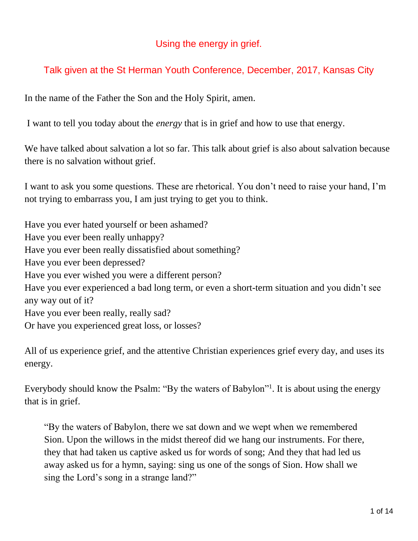### Using the energy in grief.

# Talk given at the St Herman Youth Conference, December, 2017, Kansas City

In the name of the Father the Son and the Holy Spirit, amen.

I want to tell you today about the *energy* that is in grief and how to use that energy.

We have talked about salvation a lot so far. This talk about grief is also about salvation because there is no salvation without grief.

I want to ask you some questions. These are rhetorical. You don't need to raise your hand, I'm not trying to embarrass you, I am just trying to get you to think.

Have you ever hated yourself or been ashamed? Have you ever been really unhappy? Have you ever been really dissatisfied about something? Have you ever been depressed? Have you ever wished you were a different person? Have you ever experienced a bad long term, or even a short-term situation and you didn't see any way out of it? Have you ever been really, really sad? Or have you experienced great loss, or losses?

All of us experience grief, and the attentive Christian experiences grief every day, and uses its energy.

Everybody should know the Psalm: "By the waters of Babylon"<sup>1</sup>. It is about using the energy that is in grief.

"By the waters of Babylon, there we sat down and we wept when we remembered Sion. Upon the willows in the midst thereof did we hang our instruments. For there, they that had taken us captive asked us for words of song; And they that had led us away asked us for a hymn, saying: sing us one of the songs of Sion. How shall we sing the Lord's song in a strange land?"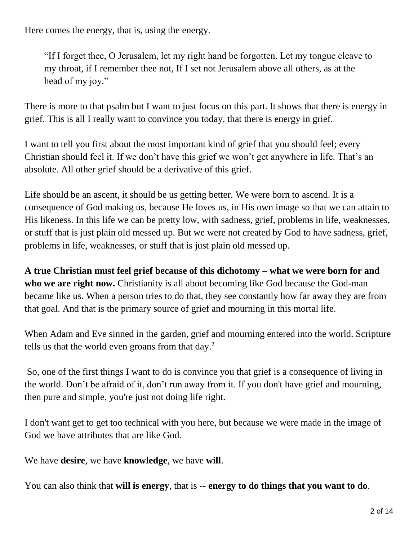Here comes the energy, that is, using the energy.

"If I forget thee, O Jerusalem, let my right hand be forgotten. Let my tongue cleave to my throat, if I remember thee not, If I set not Jerusalem above all others, as at the head of my joy."

There is more to that psalm but I want to just focus on this part. It shows that there is energy in grief. This is all I really want to convince you today, that there is energy in grief.

I want to tell you first about the most important kind of grief that you should feel; every Christian should feel it. If we don't have this grief we won't get anywhere in life. That's an absolute. All other grief should be a derivative of this grief.

Life should be an ascent, it should be us getting better. We were born to ascend. It is a consequence of God making us, because He loves us, in His own image so that we can attain to His likeness. In this life we can be pretty low, with sadness, grief, problems in life, weaknesses, or stuff that is just plain old messed up. But we were not created by God to have sadness, grief, problems in life, weaknesses, or stuff that is just plain old messed up.

**A true Christian must feel grief because of this dichotomy – what we were born for and who we are right now.** Christianity is all about becoming like God because the God-man became like us. When a person tries to do that, they see constantly how far away they are from that goal. And that is the primary source of grief and mourning in this mortal life.

When Adam and Eve sinned in the garden, grief and mourning entered into the world. Scripture tells us that the world even groans from that day.<sup>2</sup>

So, one of the first things I want to do is convince you that grief is a consequence of living in the world. Don't be afraid of it, don't run away from it. If you don't have grief and mourning, then pure and simple, you're just not doing life right.

I don't want get to get too technical with you here, but because we were made in the image of God we have attributes that are like God.

We have **desire**, we have **knowledge**, we have **will**.

You can also think that **will is energy**, that is -- **energy to do things that you want to do**.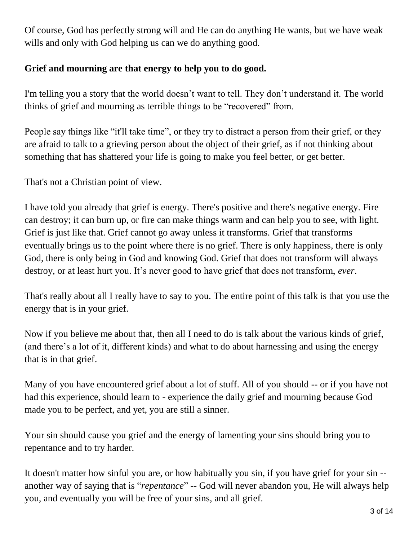Of course, God has perfectly strong will and He can do anything He wants, but we have weak wills and only with God helping us can we do anything good.

### **Grief and mourning are that energy to help you to do good.**

I'm telling you a story that the world doesn't want to tell. They don't understand it. The world thinks of grief and mourning as terrible things to be "recovered" from.

People say things like "it'll take time", or they try to distract a person from their grief, or they are afraid to talk to a grieving person about the object of their grief, as if not thinking about something that has shattered your life is going to make you feel better, or get better.

That's not a Christian point of view.

I have told you already that grief is energy. There's positive and there's negative energy. Fire can destroy; it can burn up, or fire can make things warm and can help you to see, with light. Grief is just like that. Grief cannot go away unless it transforms. Grief that transforms eventually brings us to the point where there is no grief. There is only happiness, there is only God, there is only being in God and knowing God. Grief that does not transform will always destroy, or at least hurt you. It's never good to have grief that does not transform, *ever*.

That's really about all I really have to say to you. The entire point of this talk is that you use the energy that is in your grief.

Now if you believe me about that, then all I need to do is talk about the various kinds of grief, (and there's a lot of it, different kinds) and what to do about harnessing and using the energy that is in that grief.

Many of you have encountered grief about a lot of stuff. All of you should -- or if you have not had this experience, should learn to - experience the daily grief and mourning because God made you to be perfect, and yet, you are still a sinner.

Your sin should cause you grief and the energy of lamenting your sins should bring you to repentance and to try harder.

It doesn't matter how sinful you are, or how habitually you sin, if you have grief for your sin - another way of saying that is "*repentance*" -- God will never abandon you, He will always help you, and eventually you will be free of your sins, and all grief.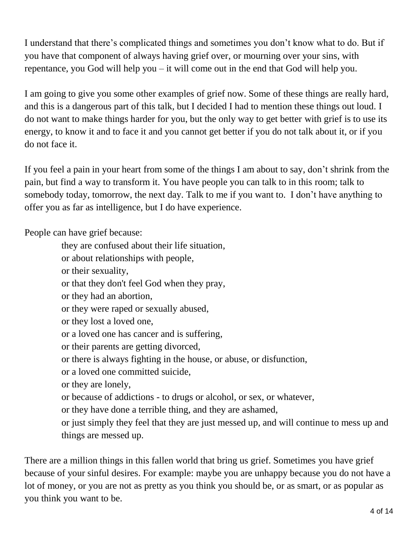I understand that there's complicated things and sometimes you don't know what to do. But if you have that component of always having grief over, or mourning over your sins, with repentance, you God will help you – it will come out in the end that God will help you.

I am going to give you some other examples of grief now. Some of these things are really hard, and this is a dangerous part of this talk, but I decided I had to mention these things out loud. I do not want to make things harder for you, but the only way to get better with grief is to use its energy, to know it and to face it and you cannot get better if you do not talk about it, or if you do not face it.

If you feel a pain in your heart from some of the things I am about to say, don't shrink from the pain, but find a way to transform it. You have people you can talk to in this room; talk to somebody today, tomorrow, the next day. Talk to me if you want to. I don't have anything to offer you as far as intelligence, but I do have experience.

People can have grief because:

- they are confused about their life situation,
- or about relationships with people,
- or their sexuality,
- or that they don't feel God when they pray,
- or they had an abortion,
- or they were raped or sexually abused,
- or they lost a loved one,
- or a loved one has cancer and is suffering,
- or their parents are getting divorced,
- or there is always fighting in the house, or abuse, or disfunction,
- or a loved one committed suicide,
- or they are lonely,
- or because of addictions to drugs or alcohol, or sex, or whatever,
- or they have done a terrible thing, and they are ashamed,
- or just simply they feel that they are just messed up, and will continue to mess up and things are messed up.

There are a million things in this fallen world that bring us grief. Sometimes you have grief because of your sinful desires. For example: maybe you are unhappy because you do not have a lot of money, or you are not as pretty as you think you should be, or as smart, or as popular as you think you want to be.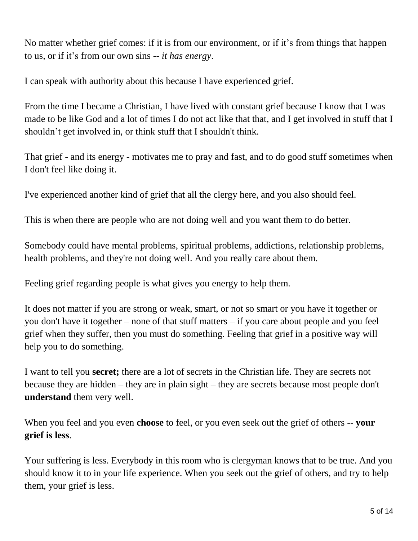No matter whether grief comes: if it is from our environment, or if it's from things that happen to us, or if it's from our own sins -- *it has energy*.

I can speak with authority about this because I have experienced grief.

From the time I became a Christian, I have lived with constant grief because I know that I was made to be like God and a lot of times I do not act like that that, and I get involved in stuff that I shouldn't get involved in, or think stuff that I shouldn't think.

That grief - and its energy - motivates me to pray and fast, and to do good stuff sometimes when I don't feel like doing it.

I've experienced another kind of grief that all the clergy here, and you also should feel.

This is when there are people who are not doing well and you want them to do better.

Somebody could have mental problems, spiritual problems, addictions, relationship problems, health problems, and they're not doing well. And you really care about them.

Feeling grief regarding people is what gives you energy to help them.

It does not matter if you are strong or weak, smart, or not so smart or you have it together or you don't have it together – none of that stuff matters – if you care about people and you feel grief when they suffer, then you must do something. Feeling that grief in a positive way will help you to do something.

I want to tell you **secret;** there are a lot of secrets in the Christian life. They are secrets not because they are hidden – they are in plain sight – they are secrets because most people don't **understand** them very well.

When you feel and you even **choose** to feel, or you even seek out the grief of others -- **your grief is less**.

Your suffering is less. Everybody in this room who is clergyman knows that to be true. And you should know it to in your life experience. When you seek out the grief of others, and try to help them, your grief is less.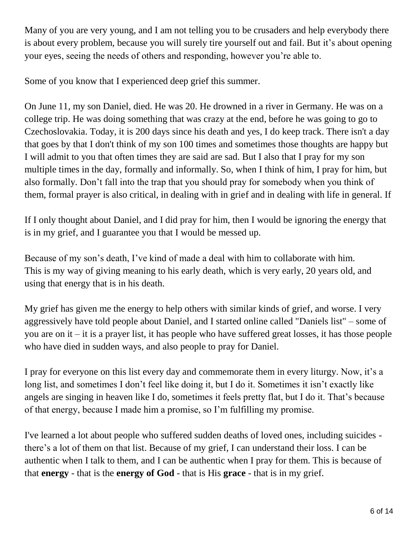Many of you are very young, and I am not telling you to be crusaders and help everybody there is about every problem, because you will surely tire yourself out and fail. But it's about opening your eyes, seeing the needs of others and responding, however you're able to.

Some of you know that I experienced deep grief this summer.

On June 11, my son Daniel, died. He was 20. He drowned in a river in Germany. He was on a college trip. He was doing something that was crazy at the end, before he was going to go to Czechoslovakia. Today, it is 200 days since his death and yes, I do keep track. There isn't a day that goes by that I don't think of my son 100 times and sometimes those thoughts are happy but I will admit to you that often times they are said are sad. But I also that I pray for my son multiple times in the day, formally and informally. So, when I think of him, I pray for him, but also formally. Don't fall into the trap that you should pray for somebody when you think of them, formal prayer is also critical, in dealing with in grief and in dealing with life in general. If

If I only thought about Daniel, and I did pray for him, then I would be ignoring the energy that is in my grief, and I guarantee you that I would be messed up.

Because of my son's death, I've kind of made a deal with him to collaborate with him. This is my way of giving meaning to his early death, which is very early, 20 years old, and using that energy that is in his death.

My grief has given me the energy to help others with similar kinds of grief, and worse. I very aggressively have told people about Daniel, and I started online called "Daniels list" – some of you are on it – it is a prayer list, it has people who have suffered great losses, it has those people who have died in sudden ways, and also people to pray for Daniel.

I pray for everyone on this list every day and commemorate them in every liturgy. Now, it's a long list, and sometimes I don't feel like doing it, but I do it. Sometimes it isn't exactly like angels are singing in heaven like I do, sometimes it feels pretty flat, but I do it. That's because of that energy, because I made him a promise, so I'm fulfilling my promise.

I've learned a lot about people who suffered sudden deaths of loved ones, including suicides there's a lot of them on that list. Because of my grief, I can understand their loss. I can be authentic when I talk to them, and I can be authentic when I pray for them. This is because of that **energy** - that is the **energy of God** - that is His **grace** - that is in my grief.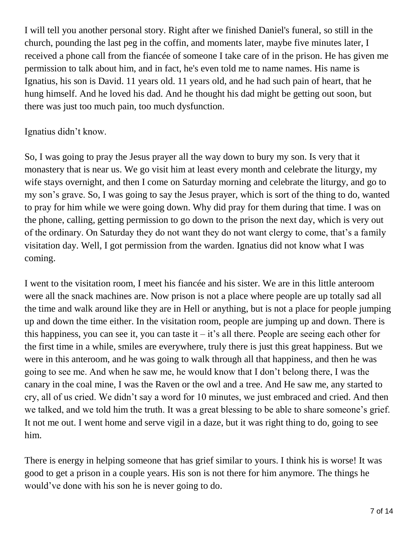I will tell you another personal story. Right after we finished Daniel's funeral, so still in the church, pounding the last peg in the coffin, and moments later, maybe five minutes later, I received a phone call from the fiancée of someone I take care of in the prison. He has given me permission to talk about him, and in fact, he's even told me to name names. His name is Ignatius, his son is David. 11 years old. 11 years old, and he had such pain of heart, that he hung himself. And he loved his dad. And he thought his dad might be getting out soon, but there was just too much pain, too much dysfunction.

#### Ignatius didn't know.

So, I was going to pray the Jesus prayer all the way down to bury my son. Is very that it monastery that is near us. We go visit him at least every month and celebrate the liturgy, my wife stays overnight, and then I come on Saturday morning and celebrate the liturgy, and go to my son's grave. So, I was going to say the Jesus prayer, which is sort of the thing to do, wanted to pray for him while we were going down. Why did pray for them during that time. I was on the phone, calling, getting permission to go down to the prison the next day, which is very out of the ordinary. On Saturday they do not want they do not want clergy to come, that's a family visitation day. Well, I got permission from the warden. Ignatius did not know what I was coming.

I went to the visitation room, I meet his fiancée and his sister. We are in this little anteroom were all the snack machines are. Now prison is not a place where people are up totally sad all the time and walk around like they are in Hell or anything, but is not a place for people jumping up and down the time either. In the visitation room, people are jumping up and down. There is this happiness, you can see it, you can taste it – it's all there. People are seeing each other for the first time in a while, smiles are everywhere, truly there is just this great happiness. But we were in this anteroom, and he was going to walk through all that happiness, and then he was going to see me. And when he saw me, he would know that I don't belong there, I was the canary in the coal mine, I was the Raven or the owl and a tree. And He saw me, any started to cry, all of us cried. We didn't say a word for 10 minutes, we just embraced and cried. And then we talked, and we told him the truth. It was a great blessing to be able to share someone's grief. It not me out. I went home and serve vigil in a daze, but it was right thing to do, going to see him.

There is energy in helping someone that has grief similar to yours. I think his is worse! It was good to get a prison in a couple years. His son is not there for him anymore. The things he would've done with his son he is never going to do.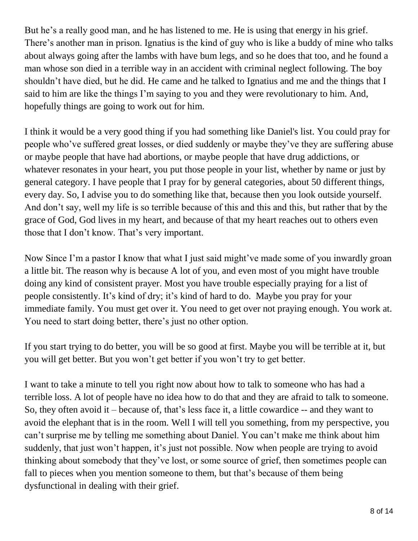But he's a really good man, and he has listened to me. He is using that energy in his grief. There's another man in prison. Ignatius is the kind of guy who is like a buddy of mine who talks about always going after the lambs with have bum legs, and so he does that too, and he found a man whose son died in a terrible way in an accident with criminal neglect following. The boy shouldn't have died, but he did. He came and he talked to Ignatius and me and the things that I said to him are like the things I'm saying to you and they were revolutionary to him. And, hopefully things are going to work out for him.

I think it would be a very good thing if you had something like Daniel's list. You could pray for people who've suffered great losses, or died suddenly or maybe they've they are suffering abuse or maybe people that have had abortions, or maybe people that have drug addictions, or whatever resonates in your heart, you put those people in your list, whether by name or just by general category. I have people that I pray for by general categories, about 50 different things, every day. So, I advise you to do something like that, because then you look outside yourself. And don't say, well my life is so terrible because of this and this and this, but rather that by the grace of God, God lives in my heart, and because of that my heart reaches out to others even those that I don't know. That's very important.

Now Since I'm a pastor I know that what I just said might've made some of you inwardly groan a little bit. The reason why is because A lot of you, and even most of you might have trouble doing any kind of consistent prayer. Most you have trouble especially praying for a list of people consistently. It's kind of dry; it's kind of hard to do. Maybe you pray for your immediate family. You must get over it. You need to get over not praying enough. You work at. You need to start doing better, there's just no other option.

If you start trying to do better, you will be so good at first. Maybe you will be terrible at it, but you will get better. But you won't get better if you won't try to get better.

I want to take a minute to tell you right now about how to talk to someone who has had a terrible loss. A lot of people have no idea how to do that and they are afraid to talk to someone. So, they often avoid it – because of, that's less face it, a little cowardice -- and they want to avoid the elephant that is in the room. Well I will tell you something, from my perspective, you can't surprise me by telling me something about Daniel. You can't make me think about him suddenly, that just won't happen, it's just not possible. Now when people are trying to avoid thinking about somebody that they've lost, or some source of grief, then sometimes people can fall to pieces when you mention someone to them, but that's because of them being dysfunctional in dealing with their grief.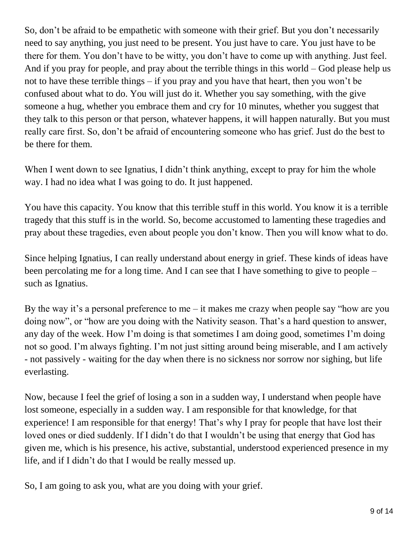So, don't be afraid to be empathetic with someone with their grief. But you don't necessarily need to say anything, you just need to be present. You just have to care. You just have to be there for them. You don't have to be witty, you don't have to come up with anything. Just feel. And if you pray for people, and pray about the terrible things in this world – God please help us not to have these terrible things – if you pray and you have that heart, then you won't be confused about what to do. You will just do it. Whether you say something, with the give someone a hug, whether you embrace them and cry for 10 minutes, whether you suggest that they talk to this person or that person, whatever happens, it will happen naturally. But you must really care first. So, don't be afraid of encountering someone who has grief. Just do the best to be there for them.

When I went down to see Ignatius, I didn't think anything, except to pray for him the whole way. I had no idea what I was going to do. It just happened.

You have this capacity. You know that this terrible stuff in this world. You know it is a terrible tragedy that this stuff is in the world. So, become accustomed to lamenting these tragedies and pray about these tragedies, even about people you don't know. Then you will know what to do.

Since helping Ignatius, I can really understand about energy in grief. These kinds of ideas have been percolating me for a long time. And I can see that I have something to give to people – such as Ignatius.

By the way it's a personal preference to me – it makes me crazy when people say "how are you doing now", or "how are you doing with the Nativity season. That's a hard question to answer, any day of the week. How I'm doing is that sometimes I am doing good, sometimes I'm doing not so good. I'm always fighting. I'm not just sitting around being miserable, and I am actively - not passively - waiting for the day when there is no sickness nor sorrow nor sighing, but life everlasting.

Now, because I feel the grief of losing a son in a sudden way, I understand when people have lost someone, especially in a sudden way. I am responsible for that knowledge, for that experience! I am responsible for that energy! That's why I pray for people that have lost their loved ones or died suddenly. If I didn't do that I wouldn't be using that energy that God has given me, which is his presence, his active, substantial, understood experienced presence in my life, and if I didn't do that I would be really messed up.

So, I am going to ask you, what are you doing with your grief.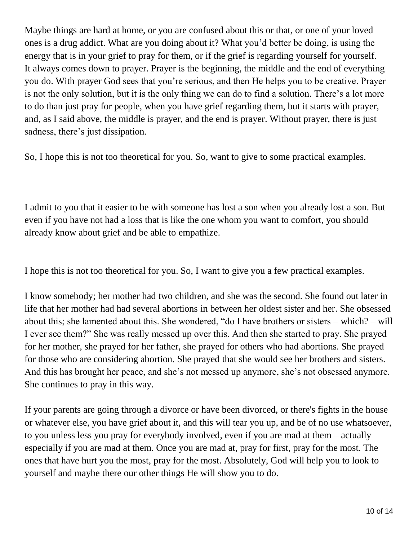Maybe things are hard at home, or you are confused about this or that, or one of your loved ones is a drug addict. What are you doing about it? What you'd better be doing, is using the energy that is in your grief to pray for them, or if the grief is regarding yourself for yourself. It always comes down to prayer. Prayer is the beginning, the middle and the end of everything you do. With prayer God sees that you're serious, and then He helps you to be creative. Prayer is not the only solution, but it is the only thing we can do to find a solution. There's a lot more to do than just pray for people, when you have grief regarding them, but it starts with prayer, and, as I said above, the middle is prayer, and the end is prayer. Without prayer, there is just sadness, there's just dissipation.

So, I hope this is not too theoretical for you. So, want to give to some practical examples.

I admit to you that it easier to be with someone has lost a son when you already lost a son. But even if you have not had a loss that is like the one whom you want to comfort, you should already know about grief and be able to empathize.

I hope this is not too theoretical for you. So, I want to give you a few practical examples.

I know somebody; her mother had two children, and she was the second. She found out later in life that her mother had had several abortions in between her oldest sister and her. She obsessed about this; she lamented about this. She wondered, "do I have brothers or sisters – which? – will I ever see them?" She was really messed up over this. And then she started to pray. She prayed for her mother, she prayed for her father, she prayed for others who had abortions. She prayed for those who are considering abortion. She prayed that she would see her brothers and sisters. And this has brought her peace, and she's not messed up anymore, she's not obsessed anymore. She continues to pray in this way.

If your parents are going through a divorce or have been divorced, or there's fights in the house or whatever else, you have grief about it, and this will tear you up, and be of no use whatsoever, to you unless less you pray for everybody involved, even if you are mad at them – actually especially if you are mad at them. Once you are mad at, pray for first, pray for the most. The ones that have hurt you the most, pray for the most. Absolutely, God will help you to look to yourself and maybe there our other things He will show you to do.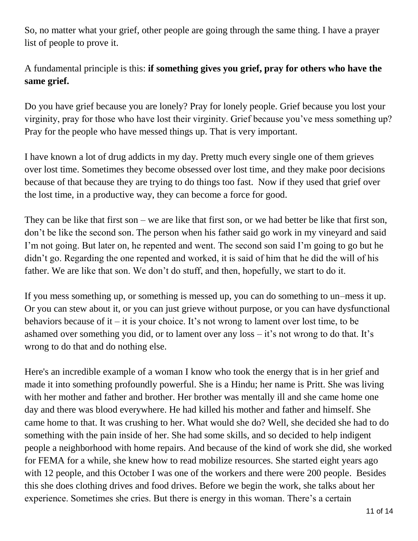So, no matter what your grief, other people are going through the same thing. I have a prayer list of people to prove it.

# A fundamental principle is this: **if something gives you grief, pray for others who have the same grief.**

Do you have grief because you are lonely? Pray for lonely people. Grief because you lost your virginity, pray for those who have lost their virginity. Grief because you've mess something up? Pray for the people who have messed things up. That is very important.

I have known a lot of drug addicts in my day. Pretty much every single one of them grieves over lost time. Sometimes they become obsessed over lost time, and they make poor decisions because of that because they are trying to do things too fast. Now if they used that grief over the lost time, in a productive way, they can become a force for good.

They can be like that first son – we are like that first son, or we had better be like that first son, don't be like the second son. The person when his father said go work in my vineyard and said I'm not going. But later on, he repented and went. The second son said I'm going to go but he didn't go. Regarding the one repented and worked, it is said of him that he did the will of his father. We are like that son. We don't do stuff, and then, hopefully, we start to do it.

If you mess something up, or something is messed up, you can do something to un–mess it up. Or you can stew about it, or you can just grieve without purpose, or you can have dysfunctional behaviors because of it – it is your choice. It's not wrong to lament over lost time, to be ashamed over something you did, or to lament over any loss – it's not wrong to do that. It's wrong to do that and do nothing else.

Here's an incredible example of a woman I know who took the energy that is in her grief and made it into something profoundly powerful. She is a Hindu; her name is Pritt. She was living with her mother and father and brother. Her brother was mentally ill and she came home one day and there was blood everywhere. He had killed his mother and father and himself. She came home to that. It was crushing to her. What would she do? Well, she decided she had to do something with the pain inside of her. She had some skills, and so decided to help indigent people a neighborhood with home repairs. And because of the kind of work she did, she worked for FEMA for a while, she knew how to read mobilize resources. She started eight years ago with 12 people, and this October I was one of the workers and there were 200 people. Besides this she does clothing drives and food drives. Before we begin the work, she talks about her experience. Sometimes she cries. But there is energy in this woman. There's a certain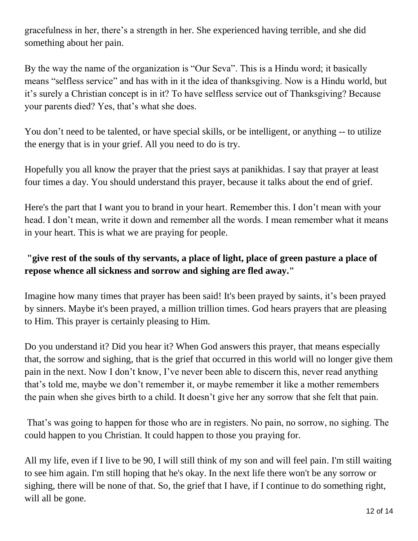gracefulness in her, there's a strength in her. She experienced having terrible, and she did something about her pain.

By the way the name of the organization is "Our Seva". This is a Hindu word; it basically means "selfless service" and has with in it the idea of thanksgiving. Now is a Hindu world, but it's surely a Christian concept is in it? To have selfless service out of Thanksgiving? Because your parents died? Yes, that's what she does.

You don't need to be talented, or have special skills, or be intelligent, or anything -- to utilize the energy that is in your grief. All you need to do is try.

Hopefully you all know the prayer that the priest says at panikhidas. I say that prayer at least four times a day. You should understand this prayer, because it talks about the end of grief.

Here's the part that I want you to brand in your heart. Remember this. I don't mean with your head. I don't mean, write it down and remember all the words. I mean remember what it means in your heart. This is what we are praying for people.

# **"give rest of the souls of thy servants, a place of light, place of green pasture a place of repose whence all sickness and sorrow and sighing are fled away."**

Imagine how many times that prayer has been said! It's been prayed by saints, it's been prayed by sinners. Maybe it's been prayed, a million trillion times. God hears prayers that are pleasing to Him. This prayer is certainly pleasing to Him.

Do you understand it? Did you hear it? When God answers this prayer, that means especially that, the sorrow and sighing, that is the grief that occurred in this world will no longer give them pain in the next. Now I don't know, I've never been able to discern this, never read anything that's told me, maybe we don't remember it, or maybe remember it like a mother remembers the pain when she gives birth to a child. It doesn't give her any sorrow that she felt that pain.

That's was going to happen for those who are in registers. No pain, no sorrow, no sighing. The could happen to you Christian. It could happen to those you praying for.

All my life, even if I live to be 90, I will still think of my son and will feel pain. I'm still waiting to see him again. I'm still hoping that he's okay. In the next life there won't be any sorrow or sighing, there will be none of that. So, the grief that I have, if I continue to do something right, will all be gone.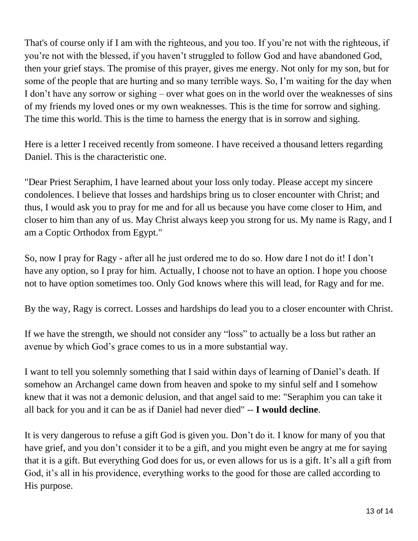That's of course only if I am with the righteous, and you too. If you're not with the righteous, if you're not with the blessed, if you haven't struggled to follow God and have abandoned God, then your grief stays. The promise of this prayer, gives me energy. Not only for my son, but for some of the people that are hurting and so many terrible ways. So, I'm waiting for the day when I don't have any sorrow or sighing – over what goes on in the world over the weaknesses of sins of my friends my loved ones or my own weaknesses. This is the time for sorrow and sighing. The time this world. This is the time to harness the energy that is in sorrow and sighing.

Here is a letter I received recently from someone. I have received a thousand letters regarding Daniel. This is the characteristic one.

"Dear Priest Seraphim, I have learned about your loss only today. Please accept my sincere condolences. I believe that losses and hardships bring us to closer encounter with Christ; and thus, I would ask you to pray for me and for all us because you have come closer to Him, and closer to him than any of us. May Christ always keep you strong for us. My name is Ragy, and I am a Coptic Orthodox from Egypt."

So, now I pray for Ragy - after all he just ordered me to do so. How dare I not do it! I don't have any option, so I pray for him. Actually, I choose not to have an option. I hope you choose not to have option sometimes too. Only God knows where this will lead, for Ragy and for me.

By the way, Ragy is correct. Losses and hardships do lead you to a closer encounter with Christ.

If we have the strength, we should not consider any "loss" to actually be a loss but rather an avenue by which God's grace comes to us in a more substantial way.

I want to tell you solemnly something that I said within days of learning of Daniel's death. If somehow an Archangel came down from heaven and spoke to my sinful self and I somehow knew that it was not a demonic delusion, and that angel said to me: "Seraphim you can take it all back for you and it can be as if Daniel had never died" -- **I would decline**.

It is very dangerous to refuse a gift God is given you. Don't do it. I know for many of you that have grief, and you don't consider it to be a gift, and you might even be angry at me for saying that it is a gift. But everything God does for us, or even allows for us is a gift. It's all a gift from God, it's all in his providence, everything works to the good for those are called according to His purpose.